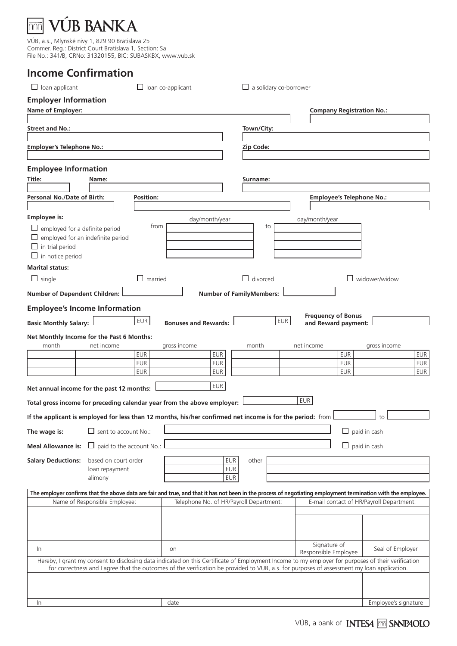## **JB BANKA**  $\overline{mn}$

VÚB, a.s., Mlynské nivy 1, 829 90 Bratislava 25 Commer. Reg.: District Court Bratislava 1, Section: Sa File No.: 341/B, CRNo: 31320155, BIC: SUBASKBX, www.vub.sk

## **Income Confirmation**

| $\Box$ loan applicant                                                                                                                                         |                                                                                                                                                    | $\Box$ loan co-applicant |              |                             |                          |                                         | $\Box$ a solidary co-borrower |                                                  |                                  |                                          |                          |
|---------------------------------------------------------------------------------------------------------------------------------------------------------------|----------------------------------------------------------------------------------------------------------------------------------------------------|--------------------------|--------------|-----------------------------|--------------------------|-----------------------------------------|-------------------------------|--------------------------------------------------|----------------------------------|------------------------------------------|--------------------------|
| <b>Employer Information</b>                                                                                                                                   |                                                                                                                                                    |                          |              |                             |                          |                                         |                               |                                                  |                                  |                                          |                          |
| Name of Employer:                                                                                                                                             |                                                                                                                                                    |                          |              |                             |                          |                                         |                               |                                                  | <b>Company Registration No.:</b> |                                          |                          |
| <b>Street and No.:</b>                                                                                                                                        |                                                                                                                                                    |                          |              |                             |                          | Town/City:                              |                               |                                                  |                                  |                                          |                          |
|                                                                                                                                                               |                                                                                                                                                    |                          |              |                             |                          |                                         |                               |                                                  |                                  |                                          |                          |
| <b>Employer's Telephone No.:</b>                                                                                                                              |                                                                                                                                                    |                          |              |                             |                          | Zip Code:                               |                               |                                                  |                                  |                                          |                          |
|                                                                                                                                                               |                                                                                                                                                    |                          |              |                             |                          |                                         |                               |                                                  |                                  |                                          |                          |
| <b>Employee Information</b>                                                                                                                                   |                                                                                                                                                    |                          |              |                             |                          |                                         |                               |                                                  |                                  |                                          |                          |
| Title:                                                                                                                                                        | Name:                                                                                                                                              |                          |              |                             |                          | Surname:                                |                               |                                                  |                                  |                                          |                          |
| Personal No./Date of Birth:                                                                                                                                   |                                                                                                                                                    | Position:                |              |                             |                          |                                         |                               |                                                  | <b>Employee's Telephone No.:</b> |                                          |                          |
|                                                                                                                                                               |                                                                                                                                                    |                          |              |                             |                          |                                         |                               |                                                  |                                  |                                          |                          |
| <b>Employee is:</b>                                                                                                                                           |                                                                                                                                                    |                          |              |                             | day/month/year           |                                         |                               | day/month/year                                   |                                  |                                          |                          |
| $\Box$ employed for a definite period                                                                                                                         |                                                                                                                                                    | trom                     |              |                             |                          |                                         | to                            |                                                  |                                  |                                          |                          |
| $\Box$ in trial period                                                                                                                                        | employed for an indefinite period                                                                                                                  |                          |              |                             |                          |                                         |                               |                                                  |                                  |                                          |                          |
| $\Box$ in notice period                                                                                                                                       |                                                                                                                                                    |                          |              |                             |                          |                                         |                               |                                                  |                                  |                                          |                          |
| <b>Marital status:</b>                                                                                                                                        |                                                                                                                                                    |                          |              |                             |                          |                                         |                               |                                                  |                                  |                                          |                          |
| $\Box$ single                                                                                                                                                 |                                                                                                                                                    | $\Box$ married           |              |                             |                          | $\Box$ divorced                         |                               |                                                  |                                  | widower/widow                            |                          |
| <b>Number of Dependent Children:</b>                                                                                                                          |                                                                                                                                                    |                          |              |                             |                          | <b>Number of FamilyMembers:</b>         |                               |                                                  |                                  |                                          |                          |
| <b>Employee's Income Information</b>                                                                                                                          |                                                                                                                                                    |                          |              |                             |                          |                                         |                               |                                                  |                                  |                                          |                          |
| <b>Basic Monthly Salary:</b>                                                                                                                                  |                                                                                                                                                    | EUR                      |              | <b>Bonuses and Rewards:</b> |                          |                                         | <b>EUR</b>                    | <b>Frequency of Bonus</b><br>and Reward payment: |                                  |                                          |                          |
| Net Monthly Income for the Past 6 Months:                                                                                                                     |                                                                                                                                                    |                          |              |                             |                          |                                         |                               |                                                  |                                  |                                          |                          |
| month                                                                                                                                                         | net income                                                                                                                                         |                          | gross income |                             |                          | month                                   |                               | net income                                       |                                  | gross income                             |                          |
|                                                                                                                                                               |                                                                                                                                                    | <b>EUR</b>               |              |                             | <b>EUR</b>               |                                         |                               |                                                  | <b>EUR</b>                       |                                          | <b>EUR</b>               |
|                                                                                                                                                               |                                                                                                                                                    | <b>EUR</b><br><b>EUR</b> |              |                             | <b>EUR</b><br><b>EUR</b> |                                         |                               |                                                  | <b>EUR</b><br><b>EUR</b>         |                                          | <b>EUR</b><br><b>EUR</b> |
|                                                                                                                                                               |                                                                                                                                                    |                          |              |                             | <b>EUR</b>               |                                         |                               |                                                  |                                  |                                          |                          |
| Net annual income for the past 12 months:                                                                                                                     |                                                                                                                                                    |                          |              |                             |                          |                                         |                               | <b>EUR</b>                                       |                                  |                                          |                          |
| Total gross income for preceding calendar year from the above employer:                                                                                       |                                                                                                                                                    |                          |              |                             |                          |                                         |                               |                                                  |                                  |                                          |                          |
| If the applicant is employed for less than 12 months, his/her confirmed net income is for the period: from                                                    |                                                                                                                                                    |                          |              |                             |                          |                                         |                               |                                                  |                                  | to                                       |                          |
| The wage is:                                                                                                                                                  | sent to account No.:                                                                                                                               |                          |              |                             |                          |                                         |                               |                                                  | ப                                | paid in cash                             |                          |
| <b>Meal Allowance is:</b>                                                                                                                                     | ⊔<br>paid to the account No.:                                                                                                                      |                          |              |                             |                          |                                         |                               |                                                  | $\Box$                           | paid in cash                             |                          |
| <b>Salary Deductions:</b>                                                                                                                                     | based on court order                                                                                                                               |                          |              |                             | <b>EUR</b>               | other                                   |                               |                                                  |                                  |                                          |                          |
|                                                                                                                                                               | loan repayment                                                                                                                                     |                          |              |                             | <b>EUR</b>               |                                         |                               |                                                  |                                  |                                          |                          |
|                                                                                                                                                               | alimony                                                                                                                                            |                          |              |                             | EUR                      |                                         |                               |                                                  |                                  |                                          |                          |
| The employer confirms that the above data are fair and true, and that it has not been in the process of negotiating employment termination with the employee. |                                                                                                                                                    |                          |              |                             |                          |                                         |                               |                                                  |                                  |                                          |                          |
|                                                                                                                                                               | Name of Responsible Employee:                                                                                                                      |                          |              |                             |                          | Telephone No. of HR/Payroll Department: |                               |                                                  |                                  | E-mail contact of HR/Payroll Department: |                          |
|                                                                                                                                                               |                                                                                                                                                    |                          |              |                             |                          |                                         |                               |                                                  |                                  |                                          |                          |
|                                                                                                                                                               |                                                                                                                                                    |                          |              |                             |                          |                                         |                               |                                                  |                                  |                                          |                          |
|                                                                                                                                                               |                                                                                                                                                    |                          |              |                             |                          |                                         |                               |                                                  |                                  |                                          |                          |
| In                                                                                                                                                            |                                                                                                                                                    |                          | on           |                             |                          |                                         |                               | Signature of<br>Responsible Employee             |                                  | Seal of Employer                         |                          |
|                                                                                                                                                               | Hereby, I grant my consent to disclosing data indicated on this Certificate of Employment Income to my employer for purposes of their verification |                          |              |                             |                          |                                         |                               |                                                  |                                  |                                          |                          |
|                                                                                                                                                               | for correctness and I agree that the outcomes of the verification be provided to VUB, a.s. for purposes of assessment my loan application.         |                          |              |                             |                          |                                         |                               |                                                  |                                  |                                          |                          |
|                                                                                                                                                               |                                                                                                                                                    |                          |              |                             |                          |                                         |                               |                                                  |                                  |                                          |                          |
| In                                                                                                                                                            |                                                                                                                                                    |                          | date         |                             |                          |                                         |                               |                                                  |                                  | Employee's signature                     |                          |